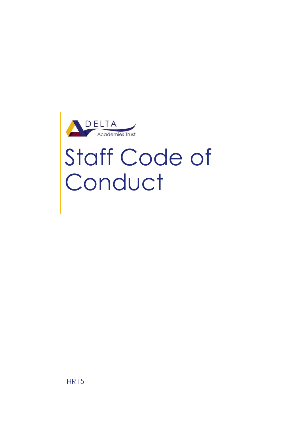

# Staff Code of Conduct

HR15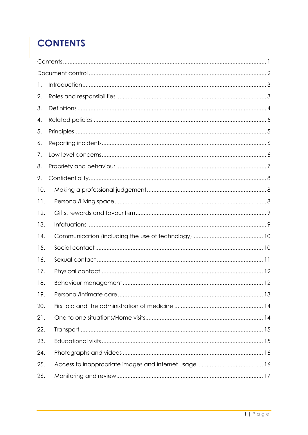# <span id="page-1-0"></span>**CONTENTS**

| 1.  |  |
|-----|--|
| 2.  |  |
| 3.  |  |
| 4.  |  |
| 5.  |  |
| 6.  |  |
| 7.  |  |
| 8.  |  |
| 9.  |  |
| 10. |  |
| 11. |  |
| 12. |  |
| 13. |  |
| 14. |  |
| 15. |  |
| 16. |  |
| 17. |  |
| 18. |  |
| 19. |  |
| 20. |  |
| 21. |  |
| 22. |  |
| 23. |  |
| 24. |  |
| 25. |  |
| 26. |  |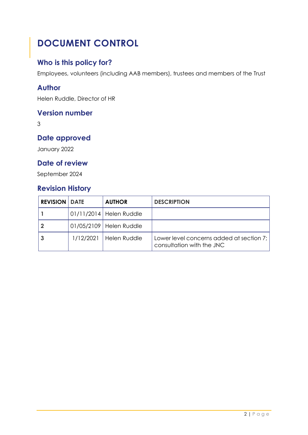# <span id="page-2-0"></span>**DOCUMENT CONTROL**

#### **Who is this policy for?**

Employees, volunteers (including AAB members), trustees and members of the Trust

#### **Author**

Helen Ruddle, Director of HR

#### **Version number**

3

#### **Date approved**

January 2022

#### **Date of review**

September 2024

#### **Revision History**

| <b>REVISION   DATE</b> |           | <b>AUTHOR</b>             | <b>DESCRIPTION</b>                                                    |
|------------------------|-----------|---------------------------|-----------------------------------------------------------------------|
|                        |           | 01/11/2014   Helen Ruddle |                                                                       |
|                        |           | 01/05/2109   Helen Ruddle |                                                                       |
|                        | 1/12/2021 | Helen Ruddle              | Lower level concerns added at section 7;<br>consultation with the JNC |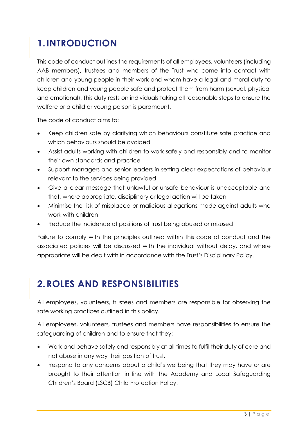# <span id="page-3-0"></span>**1.INTRODUCTION**

This code of conduct outlines the requirements of all employees, volunteers (including AAB members), trustees and members of the Trust who come into contact with children and young people in their work and whom have a legal and moral duty to keep children and young people safe and protect them from harm (sexual, physical and emotional). This duty rests on individuals taking all reasonable steps to ensure the welfare or a child or young person is paramount.

The code of conduct aims to:

- Keep children safe by clarifying which behaviours constitute safe practice and which behaviours should be avoided
- Assist adults working with children to work safely and responsibly and to monitor their own standards and practice
- Support managers and senior leaders in setting clear expectations of behaviour relevant to the services being provided
- Give a clear message that unlawful or unsafe behaviour is unacceptable and that, where appropriate, disciplinary or legal action will be taken
- Minimise the risk of misplaced or malicious allegations made against adults who work with children
- Reduce the incidence of positions of trust being abused or misused

Failure to comply with the principles outlined within this code of conduct and the associated policies will be discussed with the individual without delay, and where appropriate will be dealt with in accordance with the Trust's Disciplinary Policy.

#### <span id="page-3-1"></span>**2.ROLES AND RESPONSIBILITIES**

All employees, volunteers, trustees and members are responsible for observing the safe working practices outlined in this policy.

All employees, volunteers, trustees and members have responsibilities to ensure the safeguarding of children and to ensure that they:

- Work and behave safely and responsibly at all times to fulfil their duty of care and not abuse in any way their position of trust.
- Respond to any concerns about a child's wellbeing that they may have or are brought to their attention in line with the Academy and Local Safeguarding Children's Board (LSCB) Child Protection Policy.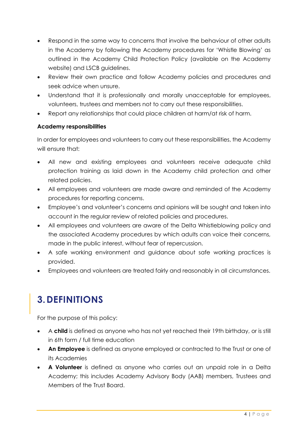- Respond in the same way to concerns that involve the behaviour of other adults in the Academy by following the Academy procedures for 'Whistle Blowing' as outlined in the Academy Child Protection Policy (available on the Academy website) and LSCB guidelines.
- Review their own practice and follow Academy policies and procedures and seek advice when unsure.
- Understand that it is professionally and morally unacceptable for employees, volunteers, trustees and members not to carry out these responsibilities.
- Report any relationships that could place children at harm/at risk of harm.

#### **Academy responsibilities**

In order for employees and volunteers to carry out these responsibilities, the Academy will ensure that:

- All new and existing employees and volunteers receive adequate child protection training as laid down in the Academy child protection and other related policies.
- All employees and volunteers are made aware and reminded of the Academy procedures for reporting concerns.
- Employee's and volunteer's concerns and opinions will be sought and taken into account in the regular review of related policies and procedures.
- All employees and volunteers are aware of the Delta Whistleblowing policy and the associated Academy procedures by which adults can voice their concerns, made in the public interest, without fear of repercussion.
- A safe working environment and guidance about safe working practices is provided.
- Employees and volunteers are treated fairly and reasonably in all circumstances.

#### <span id="page-4-0"></span>**3.DEFINITIONS**

For the purpose of this policy:

- A **child** is defined as anyone who has not yet reached their 19th birthday, or is still in 6th form / full time education
- **An Employee** is defined as anyone employed or contracted to the Trust or one of its Academies
- **A Volunteer** is defined as anyone who carries out an unpaid role in a Delta Academy; this includes Academy Advisory Body (AAB) members, Trustees and Members of the Trust Board.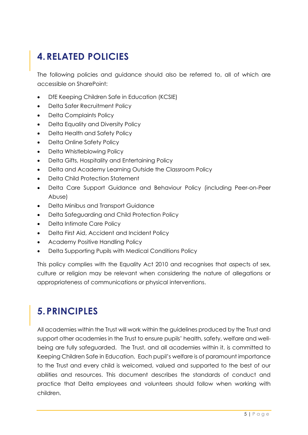# <span id="page-5-0"></span>**4.RELATED POLICIES**

The following policies and guidance should also be referred to, all of which are accessible on SharePoint:

- DfE Keeping Children Safe in Education (KCSIE)
- Delta Safer Recruitment Policy
- Delta Complaints Policy
- Delta Equality and Diversity Policy
- Delta Health and Safety Policy
- Delta Online Safety Policy
- Delta Whistleblowing Policy
- Delta Gifts, Hospitality and Entertaining Policy
- Delta and Academy Learning Outside the Classroom Policy
- Delta Child Protection Statement
- Delta Care Support Guidance and Behaviour Policy (including Peer-on-Peer Abuse)
- Delta Minibus and Transport Guidance
- Delta Safeguarding and Child Protection Policy
- Delta Intimate Care Policy
- Delta First Aid, Accident and Incident Policy
- Academy Positive Handling Policy
- Delta Supporting Pupils with Medical Conditions Policy

This policy complies with the Equality Act 2010 and recognises that aspects of sex, culture or religion may be relevant when considering the nature of allegations or appropriateness of communications or physical interventions.

## <span id="page-5-1"></span>**5.PRINCIPLES**

All academies within the Trust will work within the guidelines produced by the Trust and support other academies in the Trust to ensure pupils' health, safety, welfare and wellbeing are fully safeguarded. The Trust, and all academies within it, is committed to Keeping Children Safe in Education. Each pupil's welfare is of paramount importance to the Trust and every child is welcomed, valued and supported to the best of our abilities and resources. This document describes the standards of conduct and practice that Delta employees and volunteers should follow when working with children.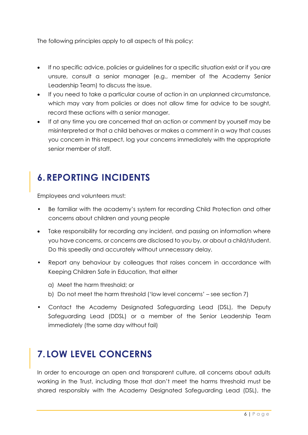The following principles apply to all aspects of this policy:

- If no specific advice, policies or guidelines for a specific situation exist or if you are unsure, consult a senior manager (e.g., member of the Academy Senior Leadership Team) to discuss the issue.
- If you need to take a particular course of action in an unplanned circumstance, which may vary from policies or does not allow time for advice to be sought, record these actions with a senior manager.
- If at any time you are concerned that an action or comment by yourself may be misinterpreted or that a child behaves or makes a comment in a way that causes you concern in this respect, log your concerns immediately with the appropriate senior member of staff.

# <span id="page-6-0"></span>**6.REPORTING INCIDENTS**

Employees and volunteers must:

- Be familiar with the academy's system for recording Child Protection and other concerns about children and young people
- Take responsibility for recording any incident, and passing on information where you have concerns, or concerns are disclosed to you by, or about a child/student. Do this speedily and accurately without unnecessary delay.
- Report any behaviour by colleagues that raises concern in accordance with Keeping Children Safe in Education, that either
	- a) Meet the harm threshold; or
	- b) Do not meet the harm threshold ('low level concerns' see section 7)
- Contact the Academy Designated Safeguarding Lead (DSL), the Deputy Safeguarding Lead (DDSL) or a member of the Senior Leadership Team immediately (the same day without fail)

#### <span id="page-6-1"></span>**7. LOW LEVEL CONCERNS**

In order to encourage an open and transparent culture, all concerns about adults working in the Trust, including those that don't meet the harms threshold must be shared responsibly with the Academy Designated Safeguarding Lead (DSL), the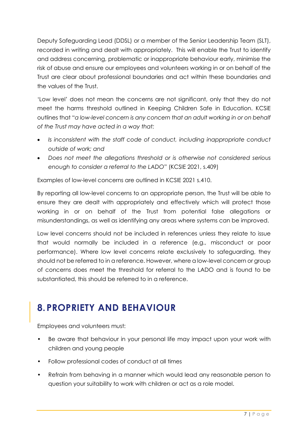Deputy Safeguarding Lead (DDSL) or a member of the Senior Leadership Team (SLT), recorded in writing and dealt with appropriately. This will enable the Trust to identify and address concerning, problematic or inappropriate behaviour early, minimise the risk of abuse and ensure our employees and volunteers working in or on behalf of the Trust are clear about professional boundaries and act within these boundaries and the values of the Trust.

'Low level' does not mean the concerns are not significant, only that they do not meet the harms threshold outlined in Keeping Children Safe in Education. KCSiE outlines that "*a low-level concern is any concern that an adult working in or on behalf of the Trust may have acted in a way that:*

- *Is inconsistent with the staff code of conduct, including inappropriate conduct outside of work; and*
- *Does not meet the allegations threshold or is otherwise not considered serious enough to consider a referral to the LADO*" (KCSIE 2021, s.409)

Examples of low-level concerns are outlined in KCSIE 2021 s.410.

By reporting all low-level concerns to an appropriate person, the Trust will be able to ensure they are dealt with appropriately and effectively which will protect those working in or on behalf of the Trust from potential false allegations or misunderstandings, as well as identifying any areas where systems can be improved.

Low level concerns should not be included in references unless they relate to issue that would normally be included in a reference (e.g., misconduct or poor performance). Where low level concerns relate exclusively to safeguarding, they should not be referred to in a reference. However, where a low-level concern or group of concerns does meet the threshold for referral to the LADO and is found to be substantiated, this should be referred to in a reference.

#### <span id="page-7-0"></span>**8.PROPRIETY AND BEHAVIOUR**

- Be aware that behaviour in your personal life may impact upon your work with children and young people
- Follow professional codes of conduct at all times
- Refrain from behaving in a manner which would lead any reasonable person to question your suitability to work with children or act as a role model.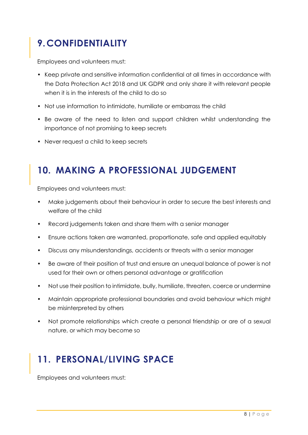# <span id="page-8-0"></span>**9.CONFIDENTIALITY**

Employees and volunteers must:

- Keep private and sensitive information confidential at all times in accordance with the Data Protection Act 2018 and UK GDPR and only share it with relevant people when it is in the interests of the child to do so
- Not use information to intimidate, humiliate or embarrass the child
- Be aware of the need to listen and support children whilst understanding the importance of not promising to keep secrets
- Never request a child to keep secrets

#### <span id="page-8-1"></span>**10. MAKING A PROFESSIONAL JUDGEMENT**

Employees and volunteers must:

- Make judgements about their behaviour in order to secure the best interests and welfare of the child
- Record judgements taken and share them with a senior manager
- Ensure actions taken are warranted, proportionate, safe and applied equitably
- Discuss any misunderstandings, accidents or threats with a senior manager
- Be aware of their position of trust and ensure an unequal balance of power is not used for their own or others personal advantage or gratification
- Not use their position to intimidate, bully, humiliate, threaten, coerce or undermine
- Maintain appropriate professional boundaries and avoid behaviour which might be misinterpreted by others
- Not promote relationships which create a personal friendship or are of a sexual nature, or which may become so

## <span id="page-8-2"></span>**11. PERSONAL/LIVING SPACE**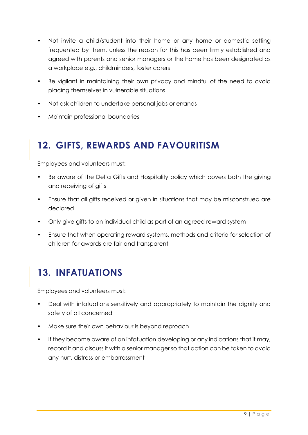- Not invite a child/student into their home or any home or domestic setting frequented by them, unless the reason for this has been firmly established and agreed with parents and senior managers or the home has been designated as a workplace e.g., childminders, foster carers
- Be vigilant in maintaining their own privacy and mindful of the need to avoid placing themselves in vulnerable situations
- Not ask children to undertake personal jobs or errands
- Maintain professional boundaries

#### <span id="page-9-0"></span>**12. GIFTS, REWARDS AND FAVOURITISM**

Employees and volunteers must:

- Be aware of the Delta Gifts and Hospitality policy which covers both the giving and receiving of gifts
- Ensure that all gifts received or given in situations that may be misconstrued are declared
- Only give gifts to an individual child as part of an agreed reward system
- Ensure that when operating reward systems, methods and criteria for selection of children for awards are fair and transparent

## <span id="page-9-1"></span>**13. INFATUATIONS**

- Deal with infatuations sensitively and appropriately to maintain the dignity and safety of all concerned
- Make sure their own behaviour is beyond reproach
- If they become aware of an infatuation developing or any indications that it may, record it and discuss it with a senior manager so that action can be taken to avoid any hurt, distress or embarrassment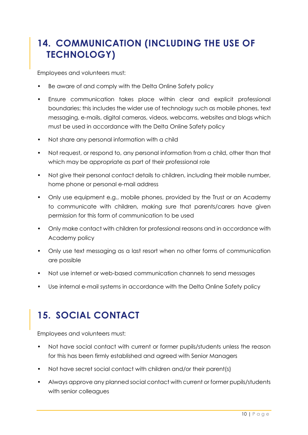## <span id="page-10-0"></span>**14. COMMUNICATION (INCLUDING THE USE OF TECHNOLOGY)**

Employees and volunteers must:

- Be aware of and comply with the Delta Online Safety policy
- Ensure communication takes place within clear and explicit professional boundaries; this includes the wider use of technology such as mobile phones, text messaging, e-mails, digital cameras, videos, webcams, websites and blogs which must be used in accordance with the Delta Online Safety policy
- Not share any personal information with a child
- Not request, or respond to, any personal information from a child, other than that which may be appropriate as part of their professional role
- Not give their personal contact details to children, including their mobile number, home phone or personal e-mail address
- Only use equipment e.g., mobile phones, provided by the Trust or an Academy to communicate with children, making sure that parents/carers have given permission for this form of communication to be used
- Only make contact with children for professional reasons and in accordance with Academy policy
- Only use text messaging as a last resort when no other forms of communication are possible
- Not use internet or web-based communication channels to send messages
- Use internal e-mail systems in accordance with the Delta Online Safety policy

# <span id="page-10-1"></span>**15. SOCIAL CONTACT**

- Not have social contact with current or former pupils/students unless the reason for this has been firmly established and agreed with Senior Managers
- Not have secret social contact with children and/or their parent(s)
- Always approve any planned social contact with current or former pupils/students with senior colleagues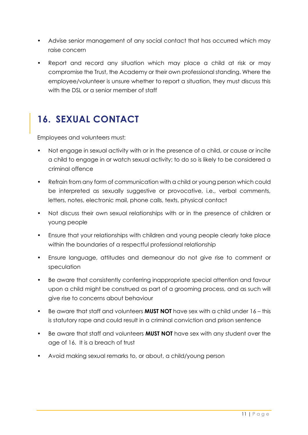- Advise senior management of any social contact that has occurred which may raise concern
- Report and record any situation which may place a child at risk or may compromise the Trust, the Academy or their own professional standing. Where the employee/volunteer is unsure whether to report a situation, they must discuss this with the DSL or a senior member of staff

#### <span id="page-11-0"></span>**16. SEXUAL CONTACT**

- Not engage in sexual activity with or in the presence of a child, or cause or incite a child to engage in or watch sexual activity; to do so is likely to be considered a criminal offence
- Refrain from any form of communication with a child or young person which could be interpreted as sexually suggestive or provocative, i.e., verbal comments, letters, notes, electronic mail, phone calls, texts, physical contact
- Not discuss their own sexual relationships with or in the presence of children or young people
- Ensure that your relationships with children and young people clearly take place within the boundaries of a respectful professional relationship
- Ensure language, attitudes and demeanour do not give rise to comment or speculation
- Be aware that consistently conferring inappropriate special attention and favour upon a child might be construed as part of a grooming process, and as such will give rise to concerns about behaviour
- Be aware that staff and volunteers **MUST NOT** have sex with a child under 16 this is statutory rape and could result in a criminal conviction and prison sentence
- Be aware that staff and volunteers **MUST NOT** have sex with any student over the age of 16. It is a breach of trust
- Avoid making sexual remarks to, or about, a child/young person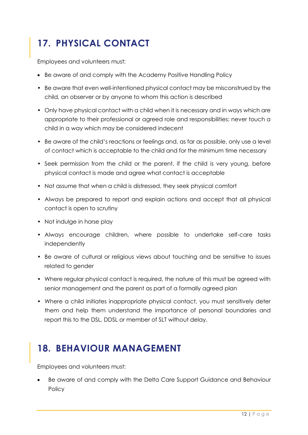# <span id="page-12-0"></span>**17. PHYSICAL CONTACT**

Employees and volunteers must:

- Be aware of and comply with the Academy Positive Handling Policy
- Be aware that even well-intentioned physical contact may be misconstrued by the child, an observer or by anyone to whom this action is described
- Only have physical contact with a child when it is necessary and in ways which are appropriate to their professional or agreed role and responsibilities; never touch a child in a way which may be considered indecent
- Be aware of the child's reactions or feelings and, as far as possible, only use a level of contact which is acceptable to the child and for the minimum time necessary
- Seek permission from the child or the parent, if the child is very young, before physical contact is made and agree what contact is acceptable
- Not assume that when a child is distressed, they seek physical comfort
- Always be prepared to report and explain actions and accept that all physical contact is open to scrutiny
- Not indulge in horse play
- Always encourage children, where possible to undertake self-care tasks independently
- Be aware of cultural or religious views about touching and be sensitive to issues related to gender
- Where regular physical contact is required, the nature of this must be agreed with senior management and the parent as part of a formally agreed plan
- Where a child initiates inappropriate physical contact, you must sensitively deter them and help them understand the importance of personal boundaries and report this to the DSL, DDSL or member of SLT without delay.

#### <span id="page-12-1"></span>**18. BEHAVIOUR MANAGEMENT**

Employees and volunteers must:

• Be aware of and comply with the Delta Care Support Guidance and Behaviour Policy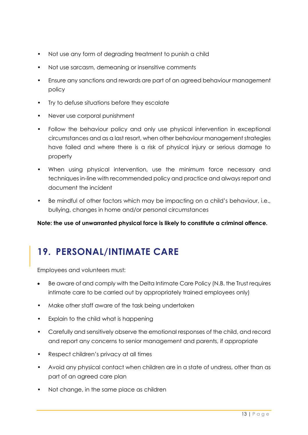- Not use any form of degrading treatment to punish a child
- Not use sarcasm, demeaning or insensitive comments
- Ensure any sanctions and rewards are part of an agreed behaviour management policy
- Try to defuse situations before they escalate
- Never use corporal punishment
- Follow the behaviour policy and only use physical intervention in exceptional circumstances and as a last resort, when other behaviour management strategies have failed and where there is a risk of physical injury or serious damage to property
- When using physical intervention, use the minimum force necessary and techniques in-line with recommended policy and practice and always report and document the incident
- Be mindful of other factors which may be impacting on a child's behaviour, i.e., bullying, changes in home and/or personal circumstances

**Note: the use of unwarranted physical force is likely to constitute a criminal offence.**

#### <span id="page-13-0"></span>**19. PERSONAL/INTIMATE CARE**

- Be aware of and comply with the Delta Intimate Care Policy (N.B. the Trust requires intimate care to be carried out by appropriately trained employees only)
- Make other staff aware of the task being undertaken
- Explain to the child what is happening
- Carefully and sensitively observe the emotional responses of the child, and record and report any concerns to senior management and parents, if appropriate
- Respect children's privacy at all times
- Avoid any physical contact when children are in a state of undress, other than as part of an agreed care plan
- Not change, in the same place as children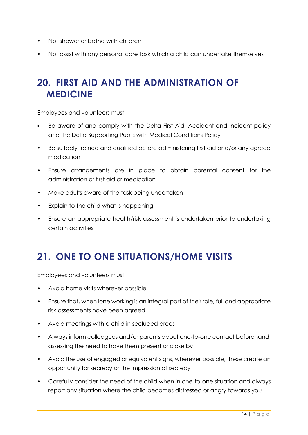- Not shower or bathe with children
- Not assist with any personal care task which a child can undertake themselves

#### <span id="page-14-0"></span>**20. FIRST AID AND THE ADMINISTRATION OF MEDICINE**

Employees and volunteers must:

- Be aware of and comply with the Delta First Aid, Accident and Incident policy and the Delta Supporting Pupils with Medical Conditions Policy
- Be suitably trained and qualified before administering first aid and/or any agreed medication
- Ensure arrangements are in place to obtain parental consent for the administration of first aid or medication
- Make adults aware of the task being undertaken
- Explain to the child what is happening
- Ensure an appropriate health/risk assessment is undertaken prior to undertaking certain activities

## <span id="page-14-1"></span>**21. ONE TO ONE SITUATIONS/HOME VISITS**

- Avoid home visits wherever possible
- Ensure that, when lone working is an integral part of their role, full and appropriate risk assessments have been agreed
- Avoid meetings with a child in secluded areas
- Always inform colleagues and/or parents about one-to-one contact beforehand, assessing the need to have them present or close by
- Avoid the use of engaged or equivalent signs, wherever possible, these create an opportunity for secrecy or the impression of secrecy
- Carefully consider the need of the child when in one-to-one situation and always report any situation where the child becomes distressed or angry towards you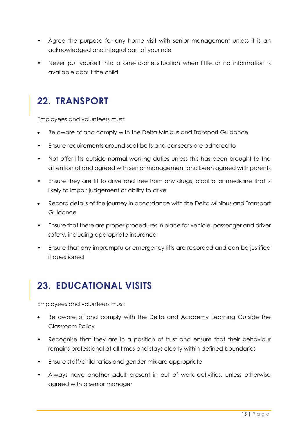- Agree the purpose for any home visit with senior management unless it is an acknowledged and integral part of your role
- Never put yourself into a one-to-one situation when little or no information is available about the child

#### <span id="page-15-0"></span>**22. TRANSPORT**

Employees and volunteers must:

- Be aware of and comply with the Delta Minibus and Transport Guidance
- Ensure requirements around seat belts and car seats are adhered to
- Not offer lifts outside normal working duties unless this has been brought to the attention of and agreed with senior management and been agreed with parents
- Ensure they are fit to drive and free from any drugs, alcohol or medicine that is likely to impair judgement or ability to drive
- Record details of the journey in accordance with the Delta Minibus and Transport Guidance
- Ensure that there are proper procedures in place for vehicle, passenger and driver safety, including appropriate insurance
- Ensure that any impromptu or emergency lifts are recorded and can be justified if questioned

## <span id="page-15-1"></span>**23. EDUCATIONAL VISITS**

- Be aware of and comply with the Delta and Academy Learning Outside the Classroom Policy
- Recognise that they are in a position of trust and ensure that their behaviour remains professional at all times and stays clearly within defined boundaries
- Ensure staff/child ratios and gender mix are appropriate
- Always have another adult present in out of work activities, unless otherwise agreed with a senior manager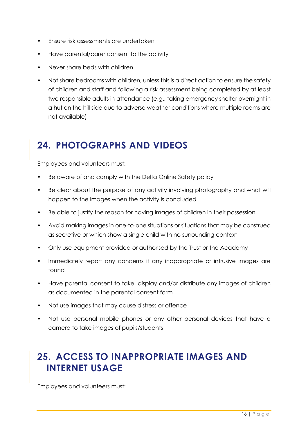- Ensure risk assessments are undertaken
- Have parental/carer consent to the activity
- Never share beds with children
- Not share bedrooms with children, unless this is a direct action to ensure the safety of children and staff and following a risk assessment being completed by at least two responsible adults in attendance (e.g., taking emergency shelter overnight in a hut on the hill side due to adverse weather conditions where multiple rooms are not available)

## <span id="page-16-0"></span>**24. PHOTOGRAPHS AND VIDEOS**

Employees and volunteers must:

- Be aware of and comply with the Delta Online Safety policy
- Be clear about the purpose of any activity involving photography and what will happen to the images when the activity is concluded
- Be able to justify the reason for having images of children in their possession
- Avoid making images in one-to-one situations or situations that may be construed as secretive or which show a single child with no surrounding context
- Only use equipment provided or authorised by the Trust or the Academy
- Immediately report any concerns if any inappropriate or intrusive images are found
- Have parental consent to take, display and/or distribute any images of children as documented in the parental consent form
- Not use images that may cause distress or offence
- Not use personal mobile phones or any other personal devices that have a camera to take images of pupils/students

#### <span id="page-16-1"></span>**25. ACCESS TO INAPPROPRIATE IMAGES AND INTERNET USAGE**